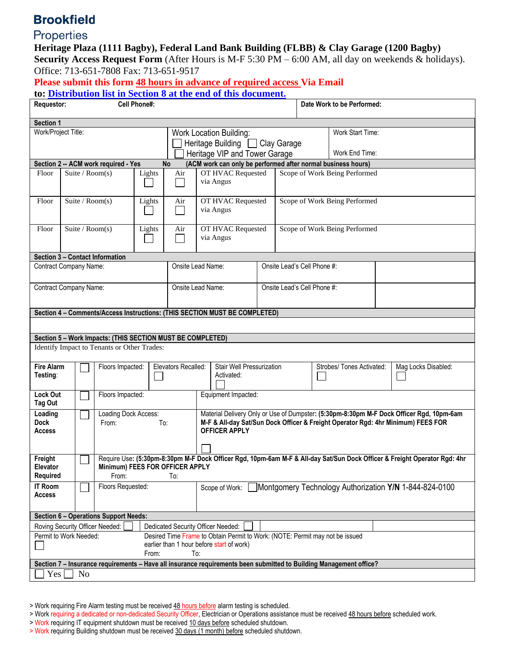## **Brookfield**

## Properties

**Heritage Plaza (1111 Bagby), Federal Land Bank Building (FLBB) & Clay Garage (1200 Bagby)** 

**Security Access Request Form** (After Hours is M-F 5:30 PM – 6:00 AM, all day on weekends & holidays). Office: 713-651-7808 Fax: 713-651-9517

**Please submit this form 48 hours in advance of required access Via Email** 

| to: Distribution list in Section 8 at the end of this document. |  |  |  |
|-----------------------------------------------------------------|--|--|--|
|                                                                 |  |  |  |

| Requestor:<br><b>Cell Phone#:</b>                                                                                  |                                                                                                                                                              |                             |                                             |       |                                                                |                                                                                                          |                               |                               | Date Work to be Performed: |                           |  |                     |
|--------------------------------------------------------------------------------------------------------------------|--------------------------------------------------------------------------------------------------------------------------------------------------------------|-----------------------------|---------------------------------------------|-------|----------------------------------------------------------------|----------------------------------------------------------------------------------------------------------|-------------------------------|-------------------------------|----------------------------|---------------------------|--|---------------------|
|                                                                                                                    |                                                                                                                                                              |                             |                                             |       |                                                                |                                                                                                          |                               |                               |                            |                           |  |                     |
| Section 1<br>Work/Project Title:                                                                                   |                                                                                                                                                              |                             |                                             |       |                                                                |                                                                                                          |                               |                               |                            | Work Start Time:          |  |                     |
|                                                                                                                    |                                                                                                                                                              |                             |                                             |       |                                                                | <b>Work Location Building:</b>                                                                           |                               |                               |                            |                           |  |                     |
|                                                                                                                    |                                                                                                                                                              |                             |                                             |       |                                                                | Heritage Building   Clay Garage                                                                          |                               |                               |                            |                           |  |                     |
|                                                                                                                    |                                                                                                                                                              |                             |                                             |       |                                                                | Heritage VIP and Tower Garage                                                                            |                               |                               |                            | Work End Time:            |  |                     |
| (ACM work can only be performed after normal business hours)<br><b>No</b><br>Section 2 -- ACM work required - Yes  |                                                                                                                                                              |                             |                                             |       |                                                                |                                                                                                          |                               |                               |                            |                           |  |                     |
| Floor                                                                                                              | Suite / Room(s)<br>Lights                                                                                                                                    |                             |                                             | Air   | OT HVAC Requested<br>via Angus                                 |                                                                                                          | Scope of Work Being Performed |                               |                            |                           |  |                     |
| Floor                                                                                                              |                                                                                                                                                              | Suite / $Room(s)$<br>Lights |                                             |       | Air                                                            | OT HVAC Requested<br>via Angus                                                                           |                               | Scope of Work Being Performed |                            |                           |  |                     |
| Floor                                                                                                              | Suite / Room(s)<br>Lights                                                                                                                                    |                             |                                             | Air   | OT HVAC Requested<br>via Angus                                 |                                                                                                          | Scope of Work Being Performed |                               |                            |                           |  |                     |
|                                                                                                                    |                                                                                                                                                              |                             | Section 3 - Contact Information             |       |                                                                |                                                                                                          |                               |                               |                            |                           |  |                     |
| <b>Contract Company Name:</b>                                                                                      |                                                                                                                                                              |                             |                                             |       |                                                                | Onsite Lead Name:<br>Onsite Lead's Cell Phone #:                                                         |                               |                               |                            |                           |  |                     |
| Contract Company Name:                                                                                             |                                                                                                                                                              |                             |                                             |       | Onsite Lead Name:                                              |                                                                                                          | Onsite Lead's Cell Phone #:   |                               |                            |                           |  |                     |
|                                                                                                                    |                                                                                                                                                              |                             |                                             |       |                                                                |                                                                                                          |                               |                               |                            |                           |  |                     |
| Section 4 - Comments/Access Instructions: (THIS SECTION MUST BE COMPLETED)                                         |                                                                                                                                                              |                             |                                             |       |                                                                |                                                                                                          |                               |                               |                            |                           |  |                     |
| Section 5 - Work Impacts: (THIS SECTION MUST BE COMPLETED)                                                         |                                                                                                                                                              |                             |                                             |       |                                                                |                                                                                                          |                               |                               |                            |                           |  |                     |
|                                                                                                                    |                                                                                                                                                              |                             | Identify Impact to Tenants or Other Trades: |       |                                                                |                                                                                                          |                               |                               |                            |                           |  |                     |
|                                                                                                                    |                                                                                                                                                              |                             |                                             |       |                                                                |                                                                                                          |                               |                               |                            |                           |  |                     |
| <b>Fire Alarm</b><br>Testing:                                                                                      |                                                                                                                                                              |                             | Floors Impacted:                            |       | Elevators Recalled:<br>Stair Well Pressurization<br>Activated: |                                                                                                          |                               |                               |                            | Strobes/ Tones Activated: |  | Mag Locks Disabled: |
| <b>Lock Out</b><br>Tag Out                                                                                         |                                                                                                                                                              |                             | Floors Impacted:                            |       |                                                                | Equipment Impacted:                                                                                      |                               |                               |                            |                           |  |                     |
| Loading                                                                                                            |                                                                                                                                                              |                             | Loading Dock Access:                        |       |                                                                | Material Delivery Only or Use of Dumpster: (5:30pm-8:30pm M-F Dock Officer Rgd, 10pm-6am                 |                               |                               |                            |                           |  |                     |
| <b>Dock</b><br>Access                                                                                              |                                                                                                                                                              |                             | From:<br>To:                                |       |                                                                | M-F & All-day Sat/Sun Dock Officer & Freight Operator Rgd: 4hr Minimum) FEES FOR<br><b>OFFICER APPLY</b> |                               |                               |                            |                           |  |                     |
|                                                                                                                    |                                                                                                                                                              |                             |                                             |       |                                                                |                                                                                                          |                               |                               |                            |                           |  |                     |
| Freight<br><b>Elevator</b>                                                                                         | Require Use: (5:30pm-8:30pm M-F Dock Officer Rgd, 10pm-6am M-F & All-day Sat/Sun Dock Officer & Freight Operator Rgd: 4hr<br>Minimum) FEES FOR OFFICER APPLY |                             |                                             |       |                                                                |                                                                                                          |                               |                               |                            |                           |  |                     |
| Required                                                                                                           |                                                                                                                                                              | From:<br>To:                |                                             |       |                                                                |                                                                                                          |                               |                               |                            |                           |  |                     |
| <b>IT Room</b><br><b>Access</b>                                                                                    |                                                                                                                                                              |                             | Floors Requested:                           |       |                                                                | Montgomery Technology Authorization Y/N 1-844-824-0100<br>Scope of Work:                                 |                               |                               |                            |                           |  |                     |
| <b>Section 6 - Operations Support Needs:</b>                                                                       |                                                                                                                                                              |                             |                                             |       |                                                                |                                                                                                          |                               |                               |                            |                           |  |                     |
| Roving Security Officer Needed:<br>Dedicated Security Officer Needed:                                              |                                                                                                                                                              |                             |                                             |       |                                                                |                                                                                                          |                               |                               |                            |                           |  |                     |
| Desired Time Frame to Obtain Permit to Work: (NOTE: Permit may not be issued<br>Permit to Work Needed:             |                                                                                                                                                              |                             |                                             |       |                                                                |                                                                                                          |                               |                               |                            |                           |  |                     |
| earlier than 1 hour before start of work)                                                                          |                                                                                                                                                              |                             |                                             |       |                                                                |                                                                                                          |                               |                               |                            |                           |  |                     |
|                                                                                                                    |                                                                                                                                                              |                             |                                             | From: | To:                                                            |                                                                                                          |                               |                               |                            |                           |  |                     |
| Section 7 - Insurance requirements - Have all insurance requirements been submitted to Building Management office? |                                                                                                                                                              |                             |                                             |       |                                                                |                                                                                                          |                               |                               |                            |                           |  |                     |
| Yes<br>N <sub>0</sub>                                                                                              |                                                                                                                                                              |                             |                                             |       |                                                                |                                                                                                          |                               |                               |                            |                           |  |                     |

> Work requiring Fire Alarm testing must be received 48 hours before alarm testing is scheduled.

- > Work requiring a dedicated or non-dedicated Security Officer, Electrician or Operations assistance must be received 48 hours before scheduled work.
- > Work requiring IT equipment shutdown must be received 10 days before scheduled shutdown.
- > Work requiring Building shutdown must be received 30 days (1 month) before scheduled shutdown.